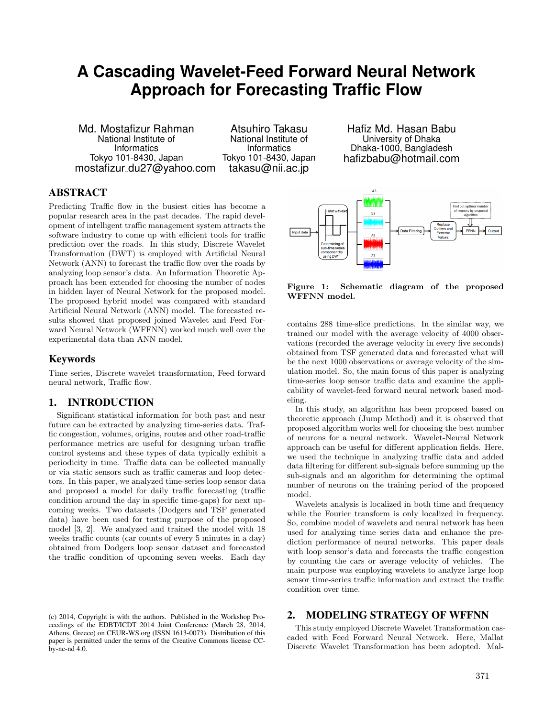# **A Cascading Wavelet-Feed Forward Neural Network Approach for Forecasting Traffic Flow**

Md. Mostafizur Rahman National Institute of **Informatics** Tokyo 101-8430, Japan mostafizur du27@yahoo.com

Atsuhiro Takasu National Institute of **Informatics** Tokyo 101-8430, Japan takasu@nii.ac.jp

Hafiz Md. Hasan Babu University of Dhaka Dhaka-1000, Bangladesh hafizbabu@hotmail.com

# ABSTRACT

Predicting Traffic flow in the busiest cities has become a popular research area in the past decades. The rapid development of intelligent traffic management system attracts the software industry to come up with efficient tools for traffic prediction over the roads. In this study, Discrete Wavelet Transformation (DWT) is employed with Artificial Neural Network (ANN) to forecast the traffic flow over the roads by analyzing loop sensor's data. An Information Theoretic Approach has been extended for choosing the number of nodes in hidden layer of Neural Network for the proposed model. The proposed hybrid model was compared with standard Artificial Neural Network (ANN) model. The forecasted results showed that proposed joined Wavelet and Feed Forward Neural Network (WFFNN) worked much well over the experimental data than ANN model.

#### Keywords

Time series, Discrete wavelet transformation, Feed forward neural network, Traffic flow.

# 1. INTRODUCTION

Significant statistical information for both past and near future can be extracted by analyzing time-series data. Traffic congestion, volumes, origins, routes and other road-traffic performance metrics are useful for designing urban traffic control systems and these types of data typically exhibit a periodicity in time. Traffic data can be collected manually or via static sensors such as traffic cameras and loop detectors. In this paper, we analyzed time-series loop sensor data and proposed a model for daily traffic forecasting (traffic condition around the day in specific time-gaps) for next upcoming weeks. Two datasets (Dodgers and TSF generated data) have been used for testing purpose of the proposed model [3, 2]. We analyzed and trained the model with 18 weeks traffic counts (car counts of every 5 minutes in a day) obtained from Dodgers loop sensor dataset and forecasted the traffic condition of upcoming seven weeks. Each day



Figure 1: Schematic diagram of the proposed WFFNN model.

contains 288 time-slice predictions. In the similar way, we trained our model with the average velocity of 4000 observations (recorded the average velocity in every five seconds) obtained from TSF generated data and forecasted what will be the next 1000 observations or average velocity of the simulation model. So, the main focus of this paper is analyzing time-series loop sensor traffic data and examine the applicability of wavelet-feed forward neural network based modeling.

In this study, an algorithm has been proposed based on theoretic approach (Jump Method) and it is observed that proposed algorithm works well for choosing the best number of neurons for a neural network. Wavelet-Neural Network approach can be useful for different application fields. Here, we used the technique in analyzing traffic data and added data filtering for different sub-signals before summing up the sub-signals and an algorithm for determining the optimal number of neurons on the training period of the proposed model.

Wavelets analysis is localized in both time and frequency while the Fourier transform is only localized in frequency. So, combine model of wavelets and neural network has been used for analyzing time series data and enhance the prediction performance of neural networks. This paper deals with loop sensor's data and forecasts the traffic congestion by counting the cars or average velocity of vehicles. The main purpose was employing wavelets to analyze large loop sensor time-series traffic information and extract the traffic condition over time.

# 2. MODELING STRATEGY OF WFFNN

This study employed Discrete Wavelet Transformation cascaded with Feed Forward Neural Network. Here, Mallat Discrete Wavelet Transformation has been adopted. Mal-

<sup>(</sup>c) 2014, Copyright is with the authors. Published in the Workshop Proceedings of the EDBT/ICDT 2014 Joint Conference (March 28, 2014, Athens, Greece) on CEUR-WS.org (ISSN 1613-0073). Distribution of this paper is permitted under the terms of the Creative Commons license CCby-nc-nd 4.0.